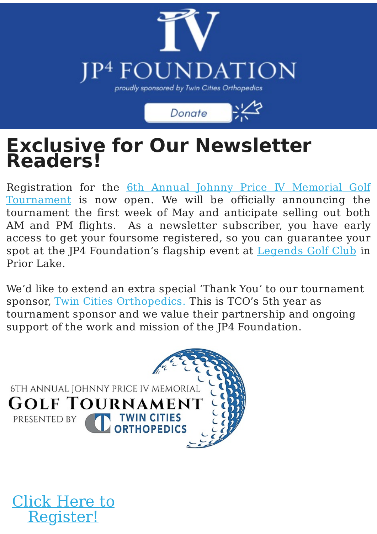

Donate

#### **Exclusive for Our Newsletter Readers!**

[Registration](https://one.bidpal.net/jp4) for the 6th Annual Johnny Price IV Memorial Golf Tournament is now open. We will be officially announcing the tournament the first week of May and anticipate selling out both AM and PM flights. As a newsletter subscriber, you have early access to get your foursome registered, so you can guarantee your spot at the JP4 Foundation's flagship event at [Legends](https://www.legendsgc.com/) Golf Club in Prior Lake.

We'd like to extend an extra special 'Thank You' to our tournament sponsor, Twin Cities [Orthopedics](https://tcomn.com/community/). This is TCO's 5th year as tournament sponsor and we value their partnership and ongoing support of the work and mission of the JP4 Foundation.



Click Here to

[Register!](https://one.bidpal.net/jp4)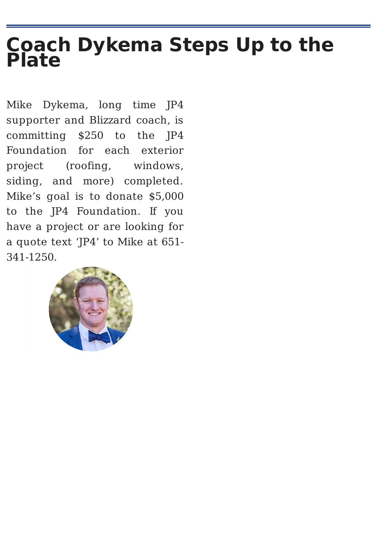### **Coach Dykema Steps Up to the Plate**

Mike Dykema, long time JP4 supporter and Blizzard coach, is committing \$250 to the JP4 Foundation for each exterior project (roofing, windows, siding, and more) completed. Mike's goal is to donate \$5,000 to the JP4 Foundation. If you have a project or are looking for a quote text 'JP4' to Mike at 651- 341-1250.

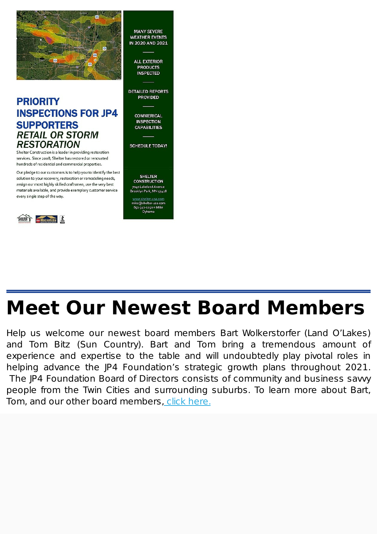

#### **PRIORITY INSPECTIONS FOR JP4 SUPPORTERS RETAIL OR STORM RESTORATION**

Shelter Construction is a leader in providing restoration services. Since 2008, Shelter has restored or renovated hundreds of residential and commercial properties.

Our pledge to our customers is to help you to identify the best solution to your recovery, restoration or remodeling needs, assign our most highly skilled craftsmen, use the very best materials available, and provide exemplary customer service every single step of the way.



**MANY SEVERE WEATHER EVENTS** IN 2020 AND 2021

> **ALL EXTERIOR PRODUCTS INSPECTED**

**DETAILED REPORTS PROVIDED** 

> **COMMERICAL INSPECTION CAPARILITIES**

**SCHEDULE TODAY!** 

**SHELTER CONSTRUCTION** 7040 Lakeland Avenue<br>Brooklyn Park, MN 55428

mike@shelter-usa.com  $651 - 341 - 1250 =$  Mike Dykema

# **Meet Our Newest Board Members**

Help us welcome our newest board members Bart Wolkerstorfer (Land O'Lakes) and Tom Bitz (Sun Country). Bart and Tom bring a tremendous amount of experience and expertise to the table and will undoubtedly play pivotal roles in helping advance the JP4 Foundation's strategic growth plans throughout 2021. The IP4 Foundation Board of Directors consists of community and business savy people from the Twin Cities and surrounding suburbs. To learn more about Bart, Tom, and our other board members, click here.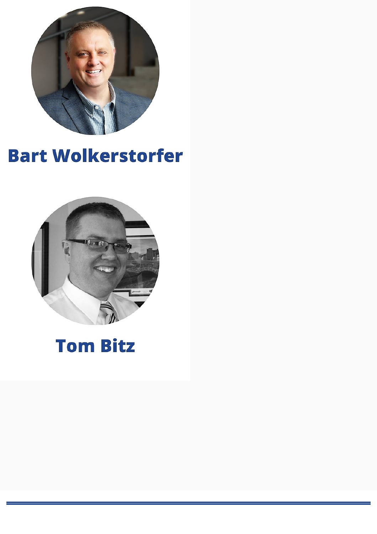

### **Bart Wolkerstorfer**



## **Tom Bitz**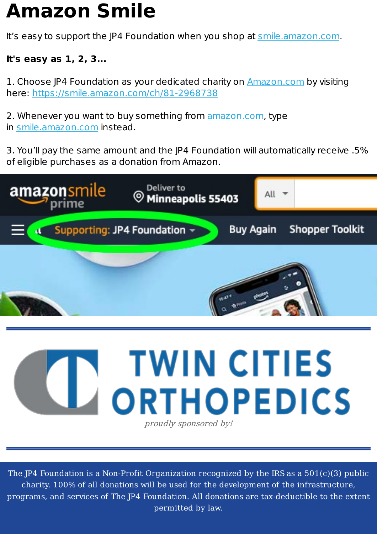# **Amazon Smile**

It's easy to support the JP4 Foundation when you shop at [smile.amazon.com](http://smile.amazon.com/).

#### **It's easy as 1, 2, 3...**

1. Choose JP4 Foundation as your dedicated charity on [Amazon.com](http://amazon.com/) by visiting here: <https://smile.amazon.com/ch/81-2968738>

2. Whenever you want to buy something from [amazon.com](http://amazon.com/), type in [smile.amazon.com](http://smile.amazon.com/) instead.

3. You'll pay the same amount and the JP4 Foundation will automatically receive .5% of eligible purchases as a donation from Amazon.



proudly sponsored by!

The JP4 Foundation is a Non-Profit Organization recognized by the IRS as a 501(c)(3) public charity. 100% of all donations will be used for the development of the infrastructure, programs, and services of The JP4 Foundation. All donations are tax-deductible to the extent permitted by law.